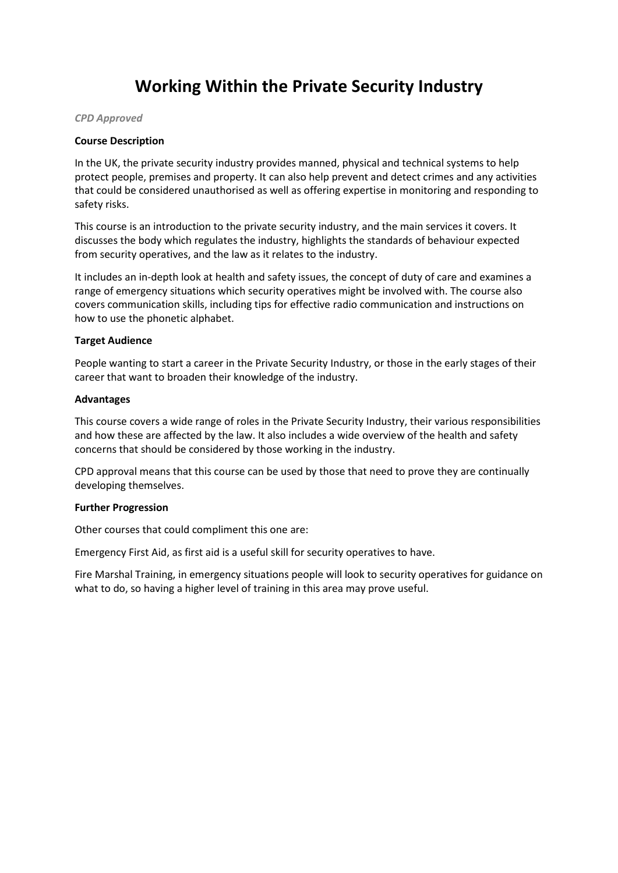# **Working Within the Private Security Industry**

*CPD Approved*

#### **Course Description**

In the UK, the private security industry provides manned, physical and technical systems to help protect people, premises and property. It can also help prevent and detect crimes and any activities that could be considered unauthorised as well as offering expertise in monitoring and responding to safety risks.

This course is an introduction to the private security industry, and the main services it covers. It discusses the body which regulates the industry, highlights the standards of behaviour expected from security operatives, and the law as it relates to the industry.

It includes an in-depth look at health and safety issues, the concept of duty of care and examines a range of emergency situations which security operatives might be involved with. The course also covers communication skills, including tips for effective radio communication and instructions on how to use the phonetic alphabet.

#### **Target Audience**

People wanting to start a career in the Private Security Industry, or those in the early stages of their career that want to broaden their knowledge of the industry.

#### **Advantages**

This course covers a wide range of roles in the Private Security Industry, their various responsibilities and how these are affected by the law. It also includes a wide overview of the health and safety concerns that should be considered by those working in the industry.

CPD approval means that this course can be used by those that need to prove they are continually developing themselves.

### **Further Progression**

Other courses that could compliment this one are:

Emergency First Aid, as first aid is a useful skill for security operatives to have.

Fire Marshal Training, in emergency situations people will look to security operatives for guidance on what to do, so having a higher level of training in this area may prove useful.